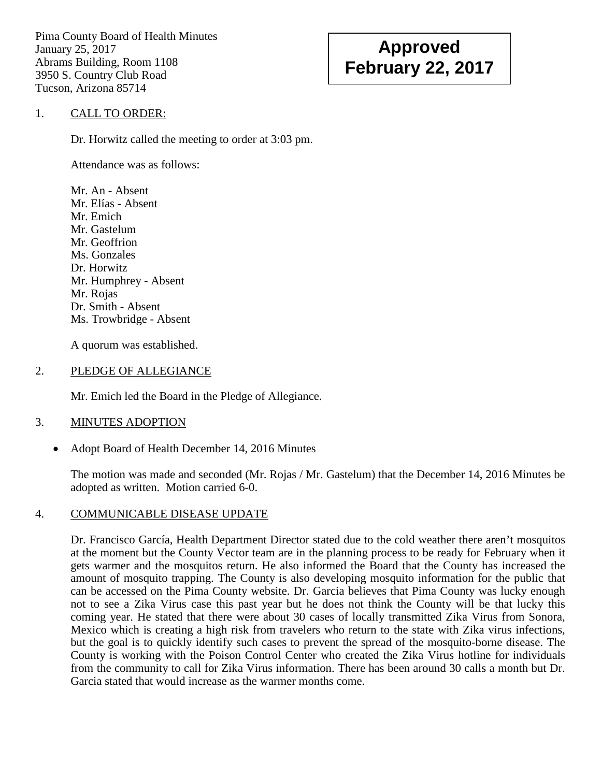Pima County Board of Health Minutes January 25, 2017 Abrams Building, Room 1108 3950 S. Country Club Road Tucson, Arizona 85714

# **Approved February 22, 2017**

## 1. CALL TO ORDER:

Dr. Horwitz called the meeting to order at 3:03 pm.

Attendance was as follows:

Mr. An - Absent Mr. Elías - Absent Mr. Emich Mr. Gastelum Mr. Geoffrion Ms. Gonzales Dr. Horwitz Mr. Humphrey - Absent Mr. Rojas Dr. Smith - Absent Ms. Trowbridge - Absent

A quorum was established.

#### 2. PLEDGE OF ALLEGIANCE

Mr. Emich led the Board in the Pledge of Allegiance.

#### 3. MINUTES ADOPTION

• Adopt Board of Health December 14, 2016 Minutes

The motion was made and seconded (Mr. Rojas / Mr. Gastelum) that the December 14, 2016 Minutes be adopted as written. Motion carried 6-0.

## 4. COMMUNICABLE DISEASE UPDATE

Dr. Francisco García, Health Department Director stated due to the cold weather there aren't mosquitos at the moment but the County Vector team are in the planning process to be ready for February when it gets warmer and the mosquitos return. He also informed the Board that the County has increased the amount of mosquito trapping. The County is also developing mosquito information for the public that can be accessed on the Pima County website. Dr. Garcia believes that Pima County was lucky enough not to see a Zika Virus case this past year but he does not think the County will be that lucky this coming year. He stated that there were about 30 cases of locally transmitted Zika Virus from Sonora, Mexico which is creating a high risk from travelers who return to the state with Zika virus infections, but the goal is to quickly identify such cases to prevent the spread of the mosquito-borne disease. The County is working with the Poison Control Center who created the Zika Virus hotline for individuals from the community to call for Zika Virus information. There has been around 30 calls a month but Dr. Garcia stated that would increase as the warmer months come.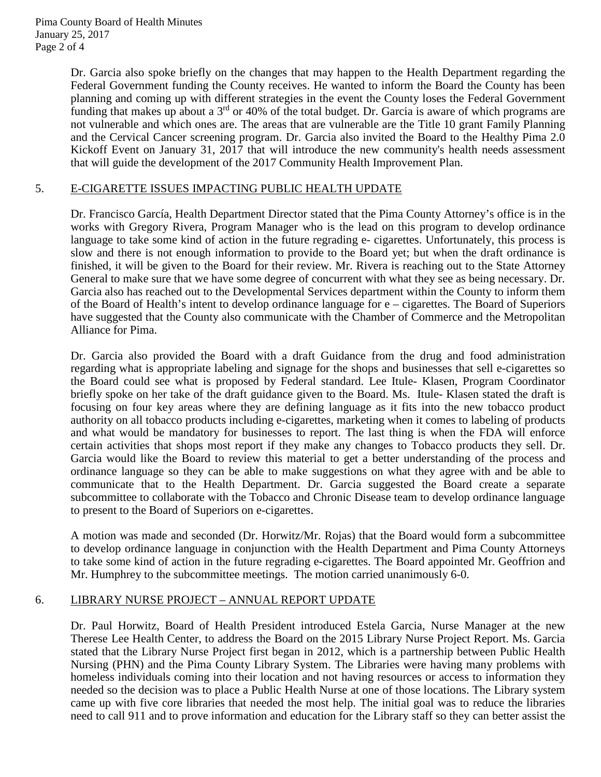Dr. Garcia also spoke briefly on the changes that may happen to the Health Department regarding the Federal Government funding the County receives. He wanted to inform the Board the County has been planning and coming up with different strategies in the event the County loses the Federal Government funding that makes up about a 3<sup>rd</sup> or 40% of the total budget. Dr. Garcia is aware of which programs are not vulnerable and which ones are. The areas that are vulnerable are the Title 10 grant Family Planning and the Cervical Cancer screening program. Dr. Garcia also invited the Board to the Healthy Pima 2.0 Kickoff Event on January 31, 2017 that will introduce the new community's health needs assessment that will guide the development of the 2017 Community Health Improvement Plan.

## 5. E-CIGARETTE ISSUES IMPACTING PUBLIC HEALTH UPDATE

Dr. Francisco García, Health Department Director stated that the Pima County Attorney's office is in the works with Gregory Rivera, Program Manager who is the lead on this program to develop ordinance language to take some kind of action in the future regrading e- cigarettes. Unfortunately, this process is slow and there is not enough information to provide to the Board yet; but when the draft ordinance is finished, it will be given to the Board for their review. Mr. Rivera is reaching out to the State Attorney General to make sure that we have some degree of concurrent with what they see as being necessary. Dr. Garcia also has reached out to the Developmental Services department within the County to inform them of the Board of Health's intent to develop ordinance language for e – cigarettes. The Board of Superiors have suggested that the County also communicate with the Chamber of Commerce and the Metropolitan Alliance for Pima.

Dr. Garcia also provided the Board with a draft Guidance from the drug and food administration regarding what is appropriate labeling and signage for the shops and businesses that sell e-cigarettes so the Board could see what is proposed by Federal standard. Lee Itule- Klasen, Program Coordinator briefly spoke on her take of the draft guidance given to the Board. Ms. Itule- Klasen stated the draft is focusing on four key areas where they are defining language as it fits into the new tobacco product authority on all tobacco products including e-cigarettes, marketing when it comes to labeling of products and what would be mandatory for businesses to report. The last thing is when the FDA will enforce certain activities that shops most report if they make any changes to Tobacco products they sell. Dr. Garcia would like the Board to review this material to get a better understanding of the process and ordinance language so they can be able to make suggestions on what they agree with and be able to communicate that to the Health Department. Dr. Garcia suggested the Board create a separate subcommittee to collaborate with the Tobacco and Chronic Disease team to develop ordinance language to present to the Board of Superiors on e-cigarettes.

A motion was made and seconded (Dr. Horwitz/Mr. Rojas) that the Board would form a subcommittee to develop ordinance language in conjunction with the Health Department and Pima County Attorneys to take some kind of action in the future regrading e-cigarettes. The Board appointed Mr. Geoffrion and Mr. Humphrey to the subcommittee meetings. The motion carried unanimously 6-0.

## 6. LIBRARY NURSE PROJECT – ANNUAL REPORT UPDATE

Dr. Paul Horwitz, Board of Health President introduced Estela Garcia, Nurse Manager at the new Therese Lee Health Center, to address the Board on the 2015 Library Nurse Project Report. Ms. Garcia stated that the Library Nurse Project first began in 2012, which is a partnership between Public Health Nursing (PHN) and the Pima County Library System. The Libraries were having many problems with homeless individuals coming into their location and not having resources or access to information they needed so the decision was to place a Public Health Nurse at one of those locations. The Library system came up with five core libraries that needed the most help. The initial goal was to reduce the libraries need to call 911 and to prove information and education for the Library staff so they can better assist the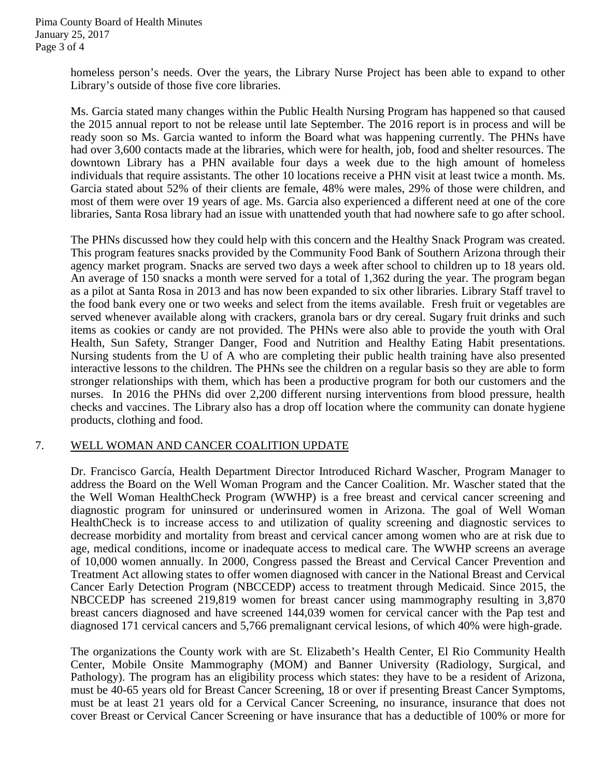homeless person's needs. Over the years, the Library Nurse Project has been able to expand to other Library's outside of those five core libraries.

Ms. Garcia stated many changes within the Public Health Nursing Program has happened so that caused the 2015 annual report to not be release until late September. The 2016 report is in process and will be ready soon so Ms. Garcia wanted to inform the Board what was happening currently. The PHNs have had over 3,600 contacts made at the libraries, which were for health, job, food and shelter resources. The downtown Library has a PHN available four days a week due to the high amount of homeless individuals that require assistants. The other 10 locations receive a PHN visit at least twice a month. Ms. Garcia stated about 52% of their clients are female, 48% were males, 29% of those were children, and most of them were over 19 years of age. Ms. Garcia also experienced a different need at one of the core libraries, Santa Rosa library had an issue with unattended youth that had nowhere safe to go after school.

The PHNs discussed how they could help with this concern and the Healthy Snack Program was created. This program features snacks provided by the Community Food Bank of Southern Arizona through their agency market program. Snacks are served two days a week after school to children up to 18 years old. An average of 150 snacks a month were served for a total of 1,362 during the year. The program began as a pilot at Santa Rosa in 2013 and has now been expanded to six other libraries. Library Staff travel to the food bank every one or two weeks and select from the items available. Fresh fruit or vegetables are served whenever available along with crackers, granola bars or dry cereal. Sugary fruit drinks and such items as cookies or candy are not provided. The PHNs were also able to provide the youth with Oral Health, Sun Safety, Stranger Danger, Food and Nutrition and Healthy Eating Habit presentations. Nursing students from the U of A who are completing their public health training have also presented interactive lessons to the children. The PHNs see the children on a regular basis so they are able to form stronger relationships with them, which has been a productive program for both our customers and the nurses. In 2016 the PHNs did over 2,200 different nursing interventions from blood pressure, health checks and vaccines. The Library also has a drop off location where the community can donate hygiene products, clothing and food.

## 7. WELL WOMAN AND CANCER COALITION UPDATE

Dr. Francisco García, Health Department Director Introduced Richard Wascher, Program Manager to address the Board on the Well Woman Program and the Cancer Coalition. Mr. Wascher stated that the the Well Woman HealthCheck Program (WWHP) is a free breast and cervical cancer screening and diagnostic program for uninsured or underinsured women in Arizona. The goal of Well Woman HealthCheck is to increase access to and utilization of quality screening and diagnostic services to decrease morbidity and mortality from breast and cervical cancer among women who are at risk due to age, medical conditions, income or inadequate access to medical care. The WWHP screens an average of 10,000 women annually. In 2000, Congress passed the Breast and Cervical Cancer Prevention and Treatment Act allowing states to offer women diagnosed with cancer in the National Breast and Cervical Cancer Early Detection Program (NBCCEDP) access to treatment through Medicaid. Since 2015, the NBCCEDP has screened 219,819 women for breast cancer using mammography resulting in 3,870 breast cancers diagnosed and have screened 144,039 women for cervical cancer with the Pap test and diagnosed 171 cervical cancers and 5,766 premalignant cervical lesions, of which 40% were high-grade.

The organizations the County work with are St. Elizabeth's Health Center, El Rio Community Health Center, Mobile Onsite Mammography (MOM) and Banner University (Radiology, Surgical, and Pathology). The program has an eligibility process which states: they have to be a resident of Arizona, must be 40-65 years old for Breast Cancer Screening, 18 or over if presenting Breast Cancer Symptoms, must be at least 21 years old for a Cervical Cancer Screening, no insurance, insurance that does not cover Breast or Cervical Cancer Screening or have insurance that has a deductible of 100% or more for